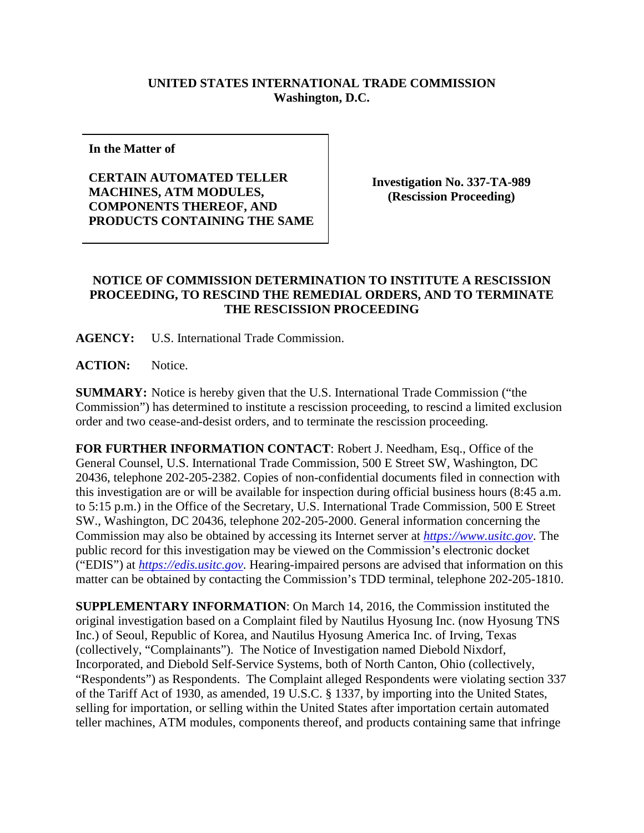## **UNITED STATES INTERNATIONAL TRADE COMMISSION Washington, D.C.**

**In the Matter of**

**CERTAIN AUTOMATED TELLER MACHINES, ATM MODULES, COMPONENTS THEREOF, AND PRODUCTS CONTAINING THE SAME**

**Investigation No. 337-TA-989 (Rescission Proceeding)**

## **NOTICE OF COMMISSION DETERMINATION TO INSTITUTE A RESCISSION PROCEEDING, TO RESCIND THE REMEDIAL ORDERS, AND TO TERMINATE THE RESCISSION PROCEEDING**

**AGENCY:** U.S. International Trade Commission.

**ACTION:** Notice.

**SUMMARY:** Notice is hereby given that the U.S. International Trade Commission ("the Commission") has determined to institute a rescission proceeding, to rescind a limited exclusion order and two cease-and-desist orders, and to terminate the rescission proceeding.

**FOR FURTHER INFORMATION CONTACT**: Robert J. Needham, Esq., Office of the General Counsel, U.S. International Trade Commission, 500 E Street SW, Washington, DC 20436, telephone 202-205-2382. Copies of non-confidential documents filed in connection with this investigation are or will be available for inspection during official business hours (8:45 a.m. to 5:15 p.m.) in the Office of the Secretary, U.S. International Trade Commission, 500 E Street SW., Washington, DC 20436, telephone 202-205-2000. General information concerning the Commission may also be obtained by accessing its Internet server at *[https://www.usitc.gov](https://www.usitc.gov/)*. The public record for this investigation may be viewed on the Commission's electronic docket ("EDIS") at *[https://edis.usitc.gov](https://edis.usitc.gov/)*. Hearing-impaired persons are advised that information on this matter can be obtained by contacting the Commission's TDD terminal, telephone 202-205-1810.

**SUPPLEMENTARY INFORMATION**: On March 14, 2016, the Commission instituted the original investigation based on a Complaint filed by Nautilus Hyosung Inc. (now Hyosung TNS Inc.) of Seoul, Republic of Korea, and Nautilus Hyosung America Inc. of Irving, Texas (collectively, "Complainants"). The Notice of Investigation named Diebold Nixdorf, Incorporated, and Diebold Self-Service Systems, both of North Canton, Ohio (collectively, "Respondents") as Respondents. The Complaint alleged Respondents were violating section 337 of the Tariff Act of 1930, as amended, 19 U.S.C. § 1337, by importing into the United States, selling for importation, or selling within the United States after importation certain automated teller machines, ATM modules, components thereof, and products containing same that infringe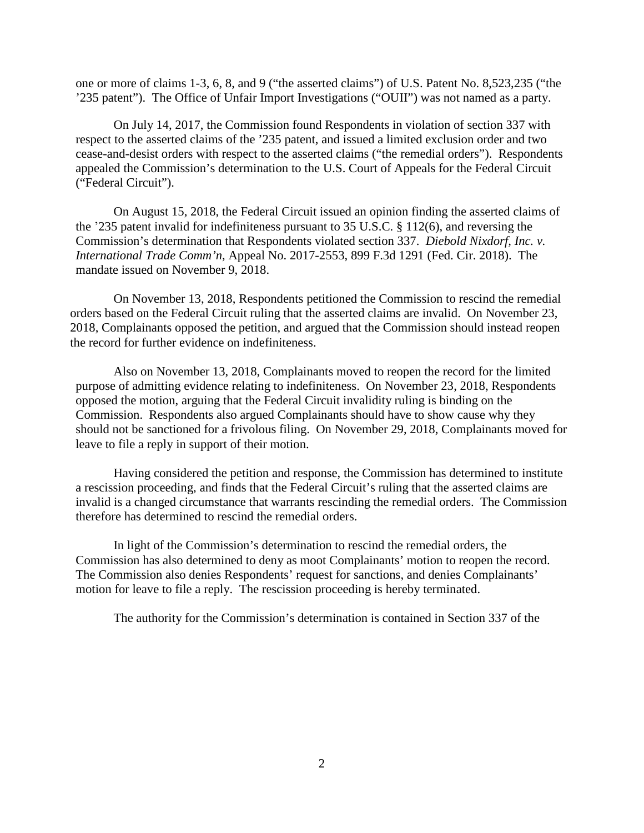one or more of claims 1-3, 6, 8, and 9 ("the asserted claims") of U.S. Patent No. 8,523,235 ("the '235 patent"). The Office of Unfair Import Investigations ("OUII") was not named as a party.

On July 14, 2017, the Commission found Respondents in violation of section 337 with respect to the asserted claims of the '235 patent, and issued a limited exclusion order and two cease-and-desist orders with respect to the asserted claims ("the remedial orders"). Respondents appealed the Commission's determination to the U.S. Court of Appeals for the Federal Circuit ("Federal Circuit").

On August 15, 2018, the Federal Circuit issued an opinion finding the asserted claims of the '235 patent invalid for indefiniteness pursuant to 35 U.S.C. § 112(6), and reversing the Commission's determination that Respondents violated section 337. *Diebold Nixdorf, Inc. v. International Trade Comm'n*, Appeal No. 2017-2553, 899 F.3d 1291 (Fed. Cir. 2018). The mandate issued on November 9, 2018.

On November 13, 2018, Respondents petitioned the Commission to rescind the remedial orders based on the Federal Circuit ruling that the asserted claims are invalid. On November 23, 2018, Complainants opposed the petition, and argued that the Commission should instead reopen the record for further evidence on indefiniteness.

Also on November 13, 2018, Complainants moved to reopen the record for the limited purpose of admitting evidence relating to indefiniteness. On November 23, 2018, Respondents opposed the motion, arguing that the Federal Circuit invalidity ruling is binding on the Commission. Respondents also argued Complainants should have to show cause why they should not be sanctioned for a frivolous filing. On November 29, 2018, Complainants moved for leave to file a reply in support of their motion.

Having considered the petition and response, the Commission has determined to institute a rescission proceeding, and finds that the Federal Circuit's ruling that the asserted claims are invalid is a changed circumstance that warrants rescinding the remedial orders. The Commission therefore has determined to rescind the remedial orders.

In light of the Commission's determination to rescind the remedial orders, the Commission has also determined to deny as moot Complainants' motion to reopen the record. The Commission also denies Respondents' request for sanctions, and denies Complainants' motion for leave to file a reply. The rescission proceeding is hereby terminated.

The authority for the Commission's determination is contained in Section 337 of the